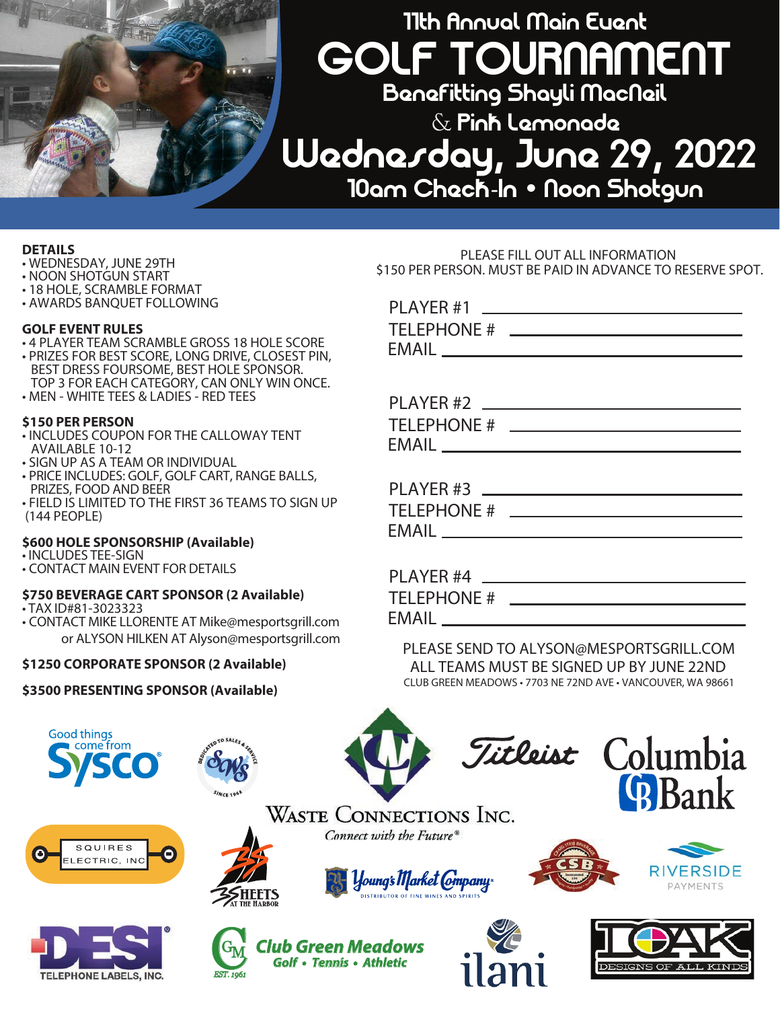

### GOLF TOURNAMENT 11th Annual Main Event Wednesday, June 29, 2022 Benefitting Shayli MacNeil & Pink Lemonade 10am Check-In • Noon Shotgun

#### **DETAILS**

- WEDNESDAY, JUNE 29TH
- NOON SHOTGUN START
- 18 HOLE, SCRAMBLE FORMAT
- AWARDS BANQUET FOLLOWING

#### **GOLF EVENT RULES**

- 4 PLAYER TEAM SCRAMBLE GROSS 18 HOLE SCORE
- PRIZES FOR BEST SCORE, LONG DRIVE, CLOSEST PIN, BEST DRESS FOURSOME, BEST HOLE SPONSOR. TOP 3 FOR EACH CATEGORY, CAN ONLY WIN ONCE.
- MEN WHITE TEES & LADIES RED TEES

#### **\$150 PER PERSON**

- INCLUDES COUPON FOR THE CALLOWAY TENT AVAILABLE 10-12
- SIGN UP AS A TEAM OR INDIVIDUAL
- PRICE INCLUDES: GOLF, GOLF CART, RANGE BALLS, PRIZES, FOOD AND BEER
- FIELD IS LIMITED TO THE FIRST 36 TEAMS TO SIGN UP (144 PEOPLE)

#### **\$600 HOLE SPONSORSHIP (Available)**

- INCLUDES TEE-SIGN
- CONTACT MAIN EVENT FOR DETAILS

#### **\$750 BEVERAGE CART SPONSOR (2 Available)**

• TAX ID#81-3023323

**TELEPHONE LABELS, INC.** 

• CONTACT MIKE LLORENTE AT Mike@mesportsgrill.com or ALYSON HILKEN AT Alyson@mesportsgrill.com

*EST. 1961*

#### **\$1250 CORPORATE SPONSOR (2 Available)**

#### **\$3500 PRESENTING SPONSOR (Available)**

#### PLEASE FILL OUT ALL INFORMATION \$150 PER PERSON. MUST BE PAID IN ADVANCE TO RESERVE SPOT.

| PLAYER #4          |  |
|--------------------|--|
| <b>TELEPHONE #</b> |  |
| <b>EMAIL</b>       |  |
|                    |  |

PLEASE SEND TO ALYSON@MESPORTSGRILL.COM ALL TEAMS MUST BE SIGNED UP BY JUNE 22ND CLUB GREEN MEADOWS • 7703 NE 72ND AVE • VANCOUVER, WA 98661